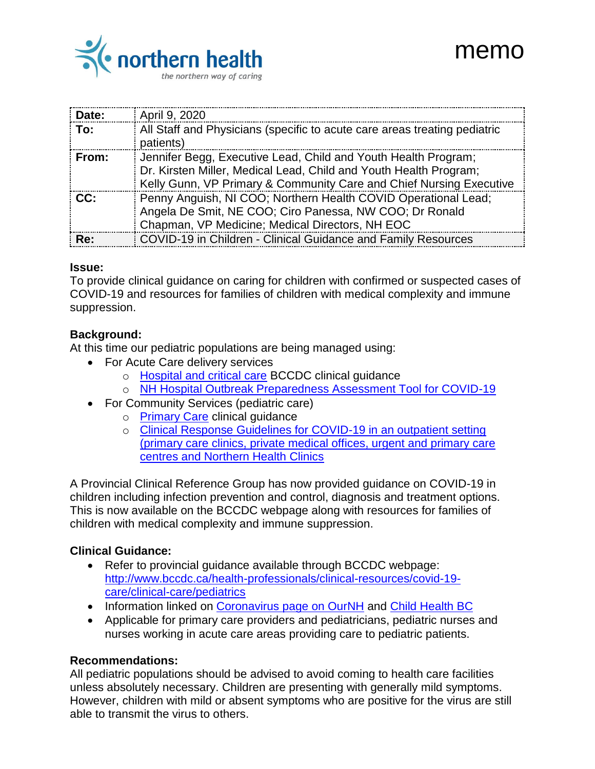

| Date: | April 9, 2020                                                                                                                                                                                              |
|-------|------------------------------------------------------------------------------------------------------------------------------------------------------------------------------------------------------------|
| To:   | All Staff and Physicians (specific to acute care areas treating pediatric<br>patients)                                                                                                                     |
| From: | Jennifer Begg, Executive Lead, Child and Youth Health Program;<br>Dr. Kirsten Miller, Medical Lead, Child and Youth Health Program;<br>Kelly Gunn, VP Primary & Community Care and Chief Nursing Executive |
| CC:   | Penny Anguish, NI COO; Northern Health COVID Operational Lead;<br>Angela De Smit, NE COO; Ciro Panessa, NW COO; Dr Ronald<br>Chapman, VP Medicine; Medical Directors, NH EOC                               |
| Re:   | COVID-19 in Children - Clinical Guidance and Family Resources                                                                                                                                              |

memo

#### **Issue:**

To provide clinical guidance on caring for children with confirmed or suspected cases of COVID-19 and resources for families of children with medical complexity and immune suppression.

### **Background:**

At this time our pediatric populations are being managed using:

- For Acute Care delivery services
	- o [Hospital and critical care](http://www.bccdc.ca/health-professionals/clinical-resources/covid-19-care/clinical-care/hospital-and-critical-care) BCCDC clinical guidance
	- o [NH Hospital Outbreak Preparedness Assessment Tool for COVID-19](https://ournh.northernhealth.ca/oursites/communications/OurNH%20Communications%20Documents/COVID19%20Hospital%20Outbreak%20Preparedness%20Assessment%20Tool%20FINAL.pdf)
- For Community Services (pediatric care)
	- o [Primary Care](http://www.bccdc.ca/health-professionals/clinical-resources/covid-19-care/clinical-care/primary-care) clinical guidance
	- o [Clinical Response Guidelines for COVID-19 in an outpatient setting](https://ournh.northernhealth.ca/oursites/communications/OurNH%20Communications%20Documents/COVID19%20NH%20Medical%20Clinic%20Response%20Algorithm%20and%20Guiding%20Princicples.pdf)  [\(primary care clinics, private medical offices, urgent and primary care](https://ournh.northernhealth.ca/oursites/communications/OurNH%20Communications%20Documents/COVID19%20NH%20Medical%20Clinic%20Response%20Algorithm%20and%20Guiding%20Princicples.pdf)  [centres and Northern Health Clinics](https://ournh.northernhealth.ca/oursites/communications/OurNH%20Communications%20Documents/COVID19%20NH%20Medical%20Clinic%20Response%20Algorithm%20and%20Guiding%20Princicples.pdf)

A Provincial Clinical Reference Group has now provided guidance on COVID-19 in children including infection prevention and control, diagnosis and treatment options. This is now available on the BCCDC webpage along with resources for families of children with medical complexity and immune suppression.

### **Clinical Guidance:**

- Refer to provincial guidance available through BCCDC webpage: [http://www.bccdc.ca/health-professionals/clinical-resources/covid-19](http://www.bccdc.ca/health-professionals/clinical-resources/covid-19-care/clinical-care/pediatrics) [care/clinical-care/pediatrics](http://www.bccdc.ca/health-professionals/clinical-resources/covid-19-care/clinical-care/pediatrics)
- Information linked on [Coronavirus page on OurNH](https://ournh.northernhealth.ca/AboutNH/Emergency/Coronavirus/Pages/default.aspx) and [Child Health BC](https://www.childhealthbc.ca/)
- Applicable for primary care providers and pediatricians, pediatric nurses and nurses working in acute care areas providing care to pediatric patients.

### **Recommendations:**

All pediatric populations should be advised to avoid coming to health care facilities unless absolutely necessary. Children are presenting with generally mild symptoms. However, children with mild or absent symptoms who are positive for the virus are still able to transmit the virus to others.